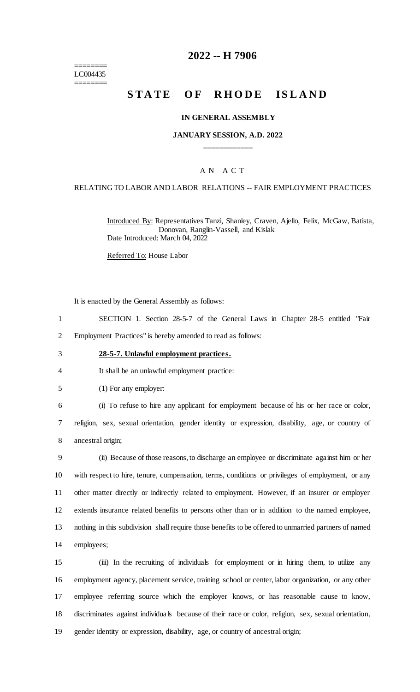======== LC004435 ========

## **2022 -- H 7906**

# **STATE OF RHODE ISLAND**

#### **IN GENERAL ASSEMBLY**

#### **JANUARY SESSION, A.D. 2022 \_\_\_\_\_\_\_\_\_\_\_\_**

#### A N A C T

#### RELATING TO LABOR AND LABOR RELATIONS -- FAIR EMPLOYMENT PRACTICES

Introduced By: Representatives Tanzi, Shanley, Craven, Ajello, Felix, McGaw, Batista, Donovan, Ranglin-Vassell, and Kislak Date Introduced: March 04, 2022

Referred To: House Labor

It is enacted by the General Assembly as follows:

1 SECTION 1. Section 28-5-7 of the General Laws in Chapter 28-5 entitled "Fair 2 Employment Practices" is hereby amended to read as follows:

3 **28-5-7. Unlawful employment practices.**

4 It shall be an unlawful employment practice:

5 (1) For any employer:

6 (i) To refuse to hire any applicant for employment because of his or her race or color,

7 religion, sex, sexual orientation, gender identity or expression, disability, age, or country of 8 ancestral origin;

 (ii) Because of those reasons, to discharge an employee or discriminate against him or her with respect to hire, tenure, compensation, terms, conditions or privileges of employment, or any other matter directly or indirectly related to employment. However, if an insurer or employer extends insurance related benefits to persons other than or in addition to the named employee, nothing in this subdivision shall require those benefits to be offered to unmarried partners of named employees;

 (iii) In the recruiting of individuals for employment or in hiring them, to utilize any employment agency, placement service, training school or center, labor organization, or any other employee referring source which the employer knows, or has reasonable cause to know, discriminates against individuals because of their race or color, religion, sex, sexual orientation, gender identity or expression, disability, age, or country of ancestral origin;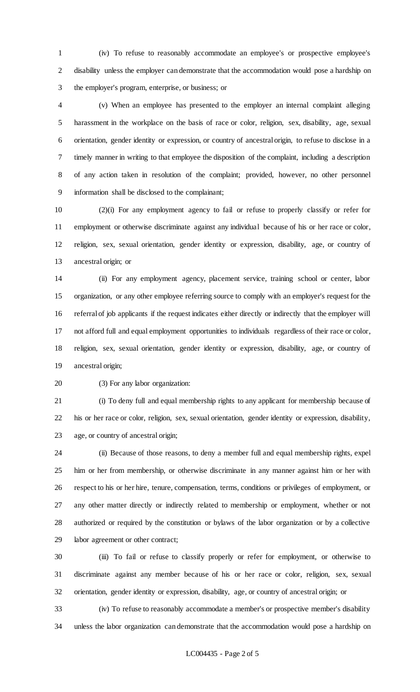(iv) To refuse to reasonably accommodate an employee's or prospective employee's disability unless the employer can demonstrate that the accommodation would pose a hardship on the employer's program, enterprise, or business; or

 (v) When an employee has presented to the employer an internal complaint alleging harassment in the workplace on the basis of race or color, religion, sex, disability, age, sexual orientation, gender identity or expression, or country of ancestral origin, to refuse to disclose in a timely manner in writing to that employee the disposition of the complaint, including a description of any action taken in resolution of the complaint; provided, however, no other personnel information shall be disclosed to the complainant;

 (2)(i) For any employment agency to fail or refuse to properly classify or refer for employment or otherwise discriminate against any individual because of his or her race or color, religion, sex, sexual orientation, gender identity or expression, disability, age, or country of ancestral origin; or

 (ii) For any employment agency, placement service, training school or center, labor organization, or any other employee referring source to comply with an employer's request for the referral of job applicants if the request indicates either directly or indirectly that the employer will not afford full and equal employment opportunities to individuals regardless of their race or color, religion, sex, sexual orientation, gender identity or expression, disability, age, or country of ancestral origin;

(3) For any labor organization:

 (i) To deny full and equal membership rights to any applicant for membership because of his or her race or color, religion, sex, sexual orientation, gender identity or expression, disability, age, or country of ancestral origin;

 (ii) Because of those reasons, to deny a member full and equal membership rights, expel him or her from membership, or otherwise discriminate in any manner against him or her with respect to his or her hire, tenure, compensation, terms, conditions or privileges of employment, or any other matter directly or indirectly related to membership or employment, whether or not authorized or required by the constitution or bylaws of the labor organization or by a collective labor agreement or other contract;

 (iii) To fail or refuse to classify properly or refer for employment, or otherwise to discriminate against any member because of his or her race or color, religion, sex, sexual orientation, gender identity or expression, disability, age, or country of ancestral origin; or

 (iv) To refuse to reasonably accommodate a member's or prospective member's disability unless the labor organization can demonstrate that the accommodation would pose a hardship on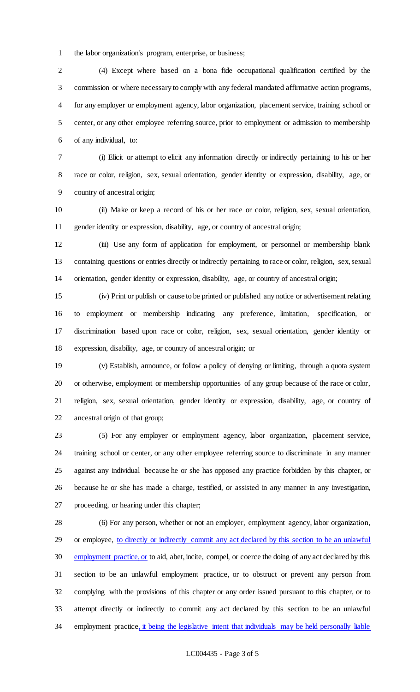the labor organization's program, enterprise, or business;

 (4) Except where based on a bona fide occupational qualification certified by the commission or where necessary to comply with any federal mandated affirmative action programs, for any employer or employment agency, labor organization, placement service, training school or center, or any other employee referring source, prior to employment or admission to membership of any individual, to:

 (i) Elicit or attempt to elicit any information directly or indirectly pertaining to his or her race or color, religion, sex, sexual orientation, gender identity or expression, disability, age, or country of ancestral origin;

 (ii) Make or keep a record of his or her race or color, religion, sex, sexual orientation, gender identity or expression, disability, age, or country of ancestral origin;

 (iii) Use any form of application for employment, or personnel or membership blank containing questions or entries directly or indirectly pertaining to race or color, religion, sex, sexual orientation, gender identity or expression, disability, age, or country of ancestral origin;

 (iv) Print or publish or cause to be printed or published any notice or advertisement relating to employment or membership indicating any preference, limitation, specification, or discrimination based upon race or color, religion, sex, sexual orientation, gender identity or expression, disability, age, or country of ancestral origin; or

 (v) Establish, announce, or follow a policy of denying or limiting, through a quota system or otherwise, employment or membership opportunities of any group because of the race or color, religion, sex, sexual orientation, gender identity or expression, disability, age, or country of ancestral origin of that group;

 (5) For any employer or employment agency, labor organization, placement service, training school or center, or any other employee referring source to discriminate in any manner against any individual because he or she has opposed any practice forbidden by this chapter, or because he or she has made a charge, testified, or assisted in any manner in any investigation, proceeding, or hearing under this chapter;

 (6) For any person, whether or not an employer, employment agency, labor organization, or employee, to directly or indirectly commit any act declared by this section to be an unlawful employment practice, or to aid, abet, incite, compel, or coerce the doing of any act declared by this section to be an unlawful employment practice, or to obstruct or prevent any person from complying with the provisions of this chapter or any order issued pursuant to this chapter, or to attempt directly or indirectly to commit any act declared by this section to be an unlawful employment practice, it being the legislative intent that individuals may be held personally liable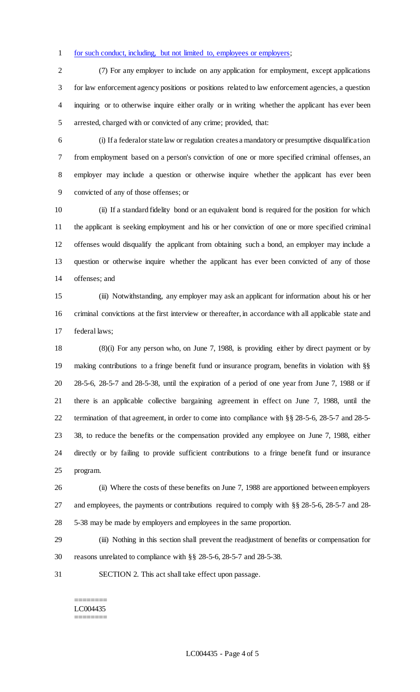#### for such conduct, including, but not limited to, employees or employers;

 (7) For any employer to include on any application for employment, except applications for law enforcement agency positions or positions related to law enforcement agencies, a question inquiring or to otherwise inquire either orally or in writing whether the applicant has ever been arrested, charged with or convicted of any crime; provided, that:

 (i) If a federal or state law or regulation creates a mandatory or presumptive disqualification from employment based on a person's conviction of one or more specified criminal offenses, an employer may include a question or otherwise inquire whether the applicant has ever been convicted of any of those offenses; or

 (ii) If a standard fidelity bond or an equivalent bond is required for the position for which the applicant is seeking employment and his or her conviction of one or more specified criminal offenses would disqualify the applicant from obtaining such a bond, an employer may include a question or otherwise inquire whether the applicant has ever been convicted of any of those offenses; and

 (iii) Notwithstanding, any employer may ask an applicant for information about his or her criminal convictions at the first interview or thereafter, in accordance with all applicable state and federal laws;

 (8)(i) For any person who, on June 7, 1988, is providing either by direct payment or by making contributions to a fringe benefit fund or insurance program, benefits in violation with §§ 28-5-6, 28-5-7 and 28-5-38, until the expiration of a period of one year from June 7, 1988 or if there is an applicable collective bargaining agreement in effect on June 7, 1988, until the termination of that agreement, in order to come into compliance with §§ 28-5-6, 28-5-7 and 28-5- 38, to reduce the benefits or the compensation provided any employee on June 7, 1988, either directly or by failing to provide sufficient contributions to a fringe benefit fund or insurance program.

 (ii) Where the costs of these benefits on June 7, 1988 are apportioned between employers and employees, the payments or contributions required to comply with §§ 28-5-6, 28-5-7 and 28- 5-38 may be made by employers and employees in the same proportion.

 (iii) Nothing in this section shall prevent the readjustment of benefits or compensation for reasons unrelated to compliance with §§ 28-5-6, 28-5-7 and 28-5-38.

SECTION 2. This act shall take effect upon passage.

======== LC004435 ========